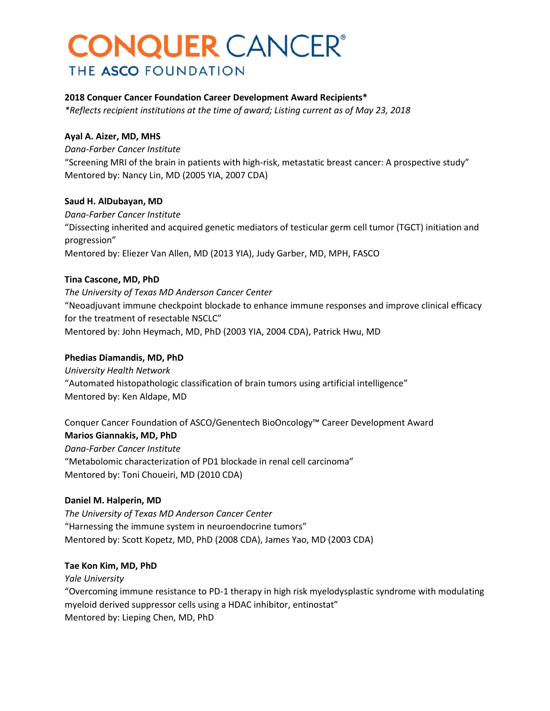# **CONQUER CANCER®** THE ASCO FOUNDATION

### **2018 Conquer Cancer Foundation Career Development Award Recipients\***

*\*Reflects recipient institutions at the time of award; Listing current as of May 23, 2018*

#### **Ayal A. Aizer, MD, MHS**

*Dana-Farber Cancer Institute* "Screening MRI of the brain in patients with high-risk, metastatic breast cancer: A prospective study" Mentored by: Nancy Lin, MD (2005 YIA, 2007 CDA)

### **Saud H. AlDubayan, MD**

*Dana-Farber Cancer Institute* "Dissecting inherited and acquired genetic mediators of testicular germ cell tumor (TGCT) initiation and progression" Mentored by: Eliezer Van Allen, MD (2013 YIA), Judy Garber, MD, MPH, FASCO

### **Tina Cascone, MD, PhD**

*The University of Texas MD Anderson Cancer Center* "Neoadjuvant immune checkpoint blockade to enhance immune responses and improve clinical efficacy for the treatment of resectable NSCLC" Mentored by: John Heymach, MD, PhD (2003 YIA, 2004 CDA), Patrick Hwu, MD

#### **Phedias Diamandis, MD, PhD**

*University Health Network* "Automated histopathologic classification of brain tumors using artificial intelligence" Mentored by: Ken Aldape, MD

Conquer Cancer Foundation of ASCO/Genentech BioOncology™ Career Development Award **Marios Giannakis, MD, PhD** *Dana-Farber Cancer Institute* "Metabolomic characterization of PD1 blockade in renal cell carcinoma" Mentored by: Toni Choueiri, MD (2010 CDA)

### **Daniel M. Halperin, MD**

*The University of Texas MD Anderson Cancer Center* "Harnessing the immune system in neuroendocrine tumors" Mentored by: Scott Kopetz, MD, PhD (2008 CDA), James Yao, MD (2003 CDA)

#### **Tae Kon Kim, MD, PhD**

*Yale University* "Overcoming immune resistance to PD-1 therapy in high risk myelodysplastic syndrome with modulating myeloid derived suppressor cells using a HDAC inhibitor, entinostat" Mentored by: Lieping Chen, MD, PhD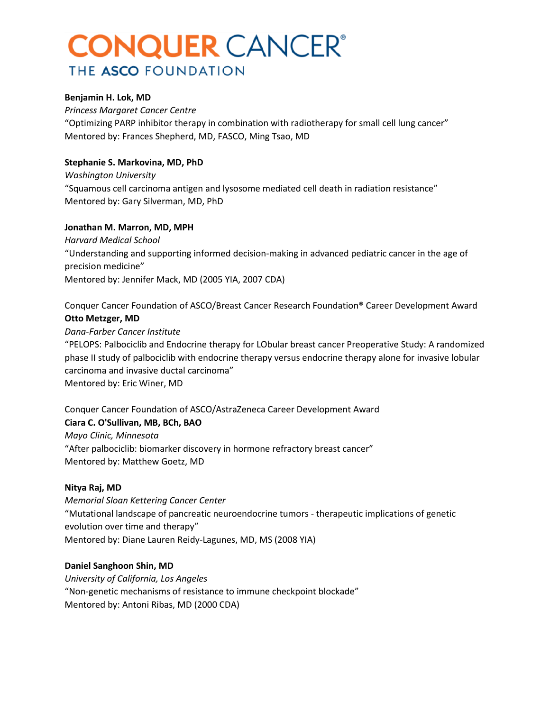# **CONQUER** CANCER® THE ASCO FOUNDATION

#### **Benjamin H. Lok, MD**

*Princess Margaret Cancer Centre* "Optimizing PARP inhibitor therapy in combination with radiotherapy for small cell lung cancer" Mentored by: Frances Shepherd, MD, FASCO, Ming Tsao, MD

### **Stephanie S. Markovina, MD, PhD**

*Washington University* "Squamous cell carcinoma antigen and lysosome mediated cell death in radiation resistance" Mentored by: Gary Silverman, MD, PhD

#### **Jonathan M. Marron, MD, MPH**

*Harvard Medical School* "Understanding and supporting informed decision-making in advanced pediatric cancer in the age of precision medicine" Mentored by: Jennifer Mack, MD (2005 YIA, 2007 CDA)

Conquer Cancer Foundation of ASCO/Breast Cancer Research Foundation® Career Development Award **Otto Metzger, MD**

#### *Dana-Farber Cancer Institute*

"PELOPS: Palbociclib and Endocrine therapy for LObular breast cancer Preoperative Study: A randomized phase II study of palbociclib with endocrine therapy versus endocrine therapy alone for invasive lobular carcinoma and invasive ductal carcinoma" Mentored by: Eric Winer, MD

## Conquer Cancer Foundation of ASCO/AstraZeneca Career Development Award

#### **Ciara C. O'Sullivan, MB, BCh, BAO**

*Mayo Clinic, Minnesota* "After palbociclib: biomarker discovery in hormone refractory breast cancer" Mentored by: Matthew Goetz, MD

#### **Nitya Raj, MD**

*Memorial Sloan Kettering Cancer Center* "Mutational landscape of pancreatic neuroendocrine tumors - therapeutic implications of genetic evolution over time and therapy" Mentored by: Diane Lauren Reidy-Lagunes, MD, MS (2008 YIA)

#### **Daniel Sanghoon Shin, MD**

*University of California, Los Angeles* "Non-genetic mechanisms of resistance to immune checkpoint blockade" Mentored by: Antoni Ribas, MD (2000 CDA)